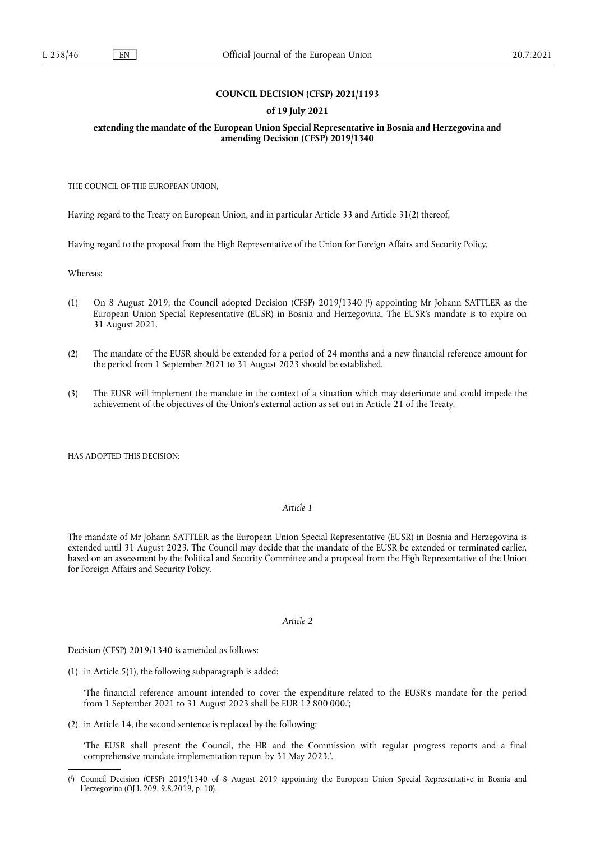# **COUNCIL DECISION (CFSP) 2021/1193**

### **of 19 July 2021**

#### **extending the mandate of the European Union Special Representative in Bosnia and Herzegovina and amending Decision (CFSP) 2019/1340**

THE COUNCIL OF THE EUROPEAN UNION,

Having regard to the Treaty on European Union, and in particular Article 33 and Article 31(2) thereof,

Having regard to the proposal from the High Representative of the Union for Foreign Affairs and Security Policy,

Whereas:

- <span id="page-0-1"></span>(1) On 8 August 2019, the Council adopted Decision (CFSP) 2019/1340 [\(](#page-0-0) 1 ) appointing Mr Johann SATTLER as the European Union Special Representative (EUSR) in Bosnia and Herzegovina. The EUSR's mandate is to expire on 31 August 2021.
- (2) The mandate of the EUSR should be extended for a period of 24 months and a new financial reference amount for the period from 1 September 2021 to 31 August 2023 should be established.
- (3) The EUSR will implement the mandate in the context of a situation which may deteriorate and could impede the achievement of the objectives of the Union's external action as set out in Article 21 of the Treaty,

HAS ADOPTED THIS DECISION:

## *Article 1*

The mandate of Mr Johann SATTLER as the European Union Special Representative (EUSR) in Bosnia and Herzegovina is extended until 31 August 2023. The Council may decide that the mandate of the EUSR be extended or terminated earlier, based on an assessment by the Political and Security Committee and a proposal from the High Representative of the Union for Foreign Affairs and Security Policy.

#### *Article 2*

Decision (CFSP) 2019/1340 is amended as follows:

(1) in Article 5(1), the following subparagraph is added:

'The financial reference amount intended to cover the expenditure related to the EUSR's mandate for the period from 1 September 2021 to 31 August 2023 shall be EUR 12 800 000.';

(2) in Article 14, the second sentence is replaced by the following:

'The EUSR shall present the Council, the HR and the Commission with regular progress reports and a final comprehensive mandate implementation report by 31 May 2023.'.

<span id="page-0-0"></span>[<sup>\(</sup>](#page-0-1) 1 ) Council Decision (CFSP) 2019/1340 of 8 August 2019 appointing the European Union Special Representative in Bosnia and Herzegovina (OJ L 209, 9.8.2019, p. 10).